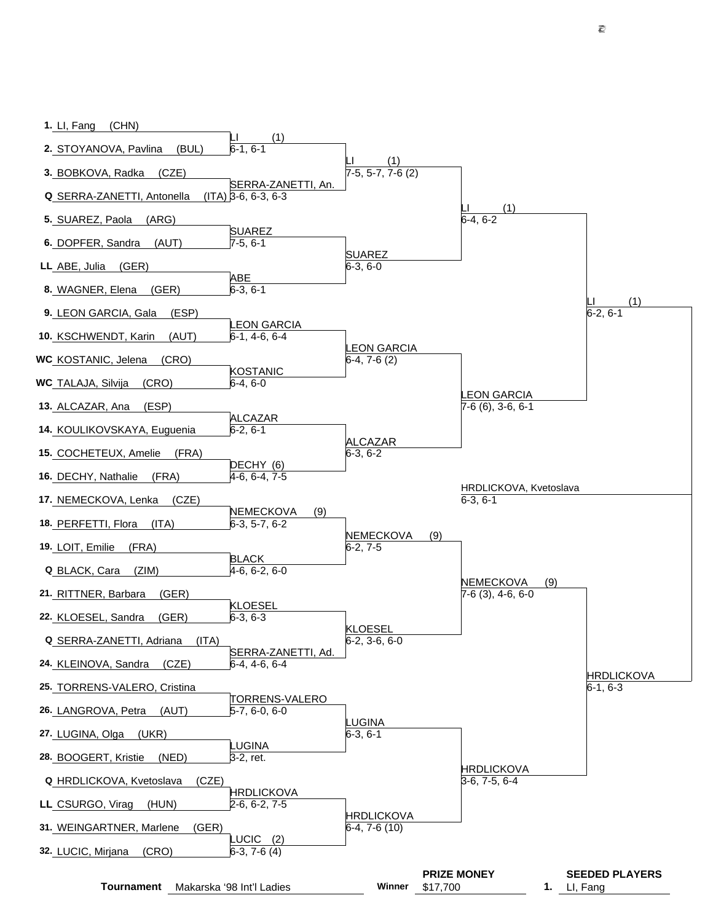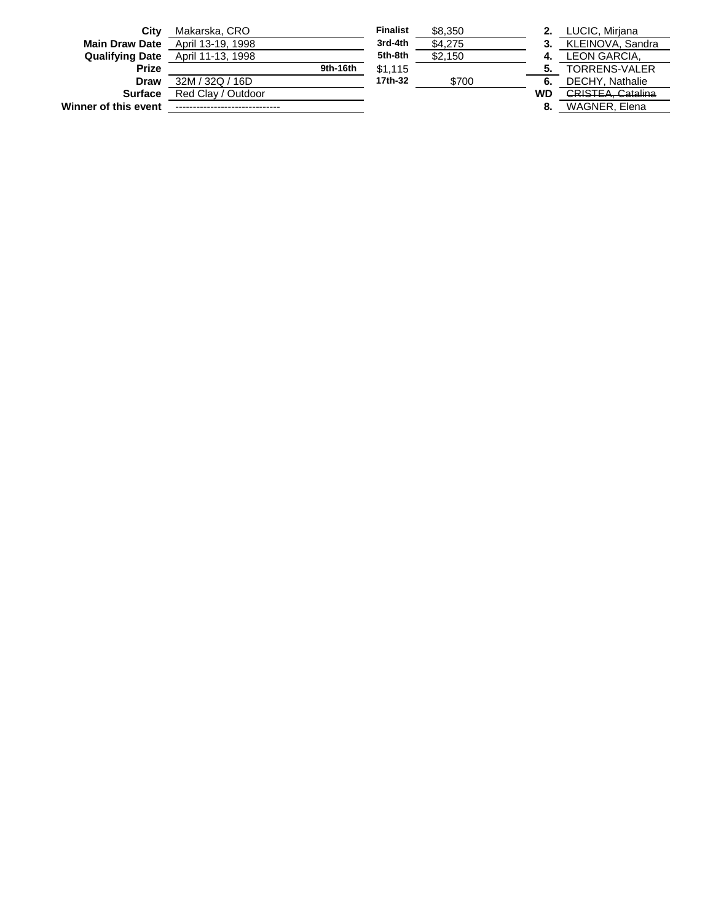| Winner of this event   |                    |          |                 |         | 8. | WAGNER, Elena            |
|------------------------|--------------------|----------|-----------------|---------|----|--------------------------|
| <b>Surface</b>         | Red Clay / Outdoor |          |                 |         | WD | <b>CRISTEA, Catalina</b> |
| <b>Draw</b>            | 32M / 32Q / 16D    |          | 17th-32         | \$700   | 6. | DECHY, Nathalie          |
| <b>Prize</b>           |                    | 9th-16th | \$1.115         |         |    | <b>TORRENS-VALER</b>     |
| <b>Qualifying Date</b> | April 11-13, 1998  |          | 5th-8th         | \$2.150 |    | LEON GARCIA.             |
| <b>Main Draw Date</b>  | April 13-19, 1998  |          | 3rd-4th         | \$4.275 | 3. | KLEINOVA, Sandra         |
| City                   | Makarska, CRO      |          | <b>Finalist</b> | \$8,350 |    | LUCIC, Mirjana           |